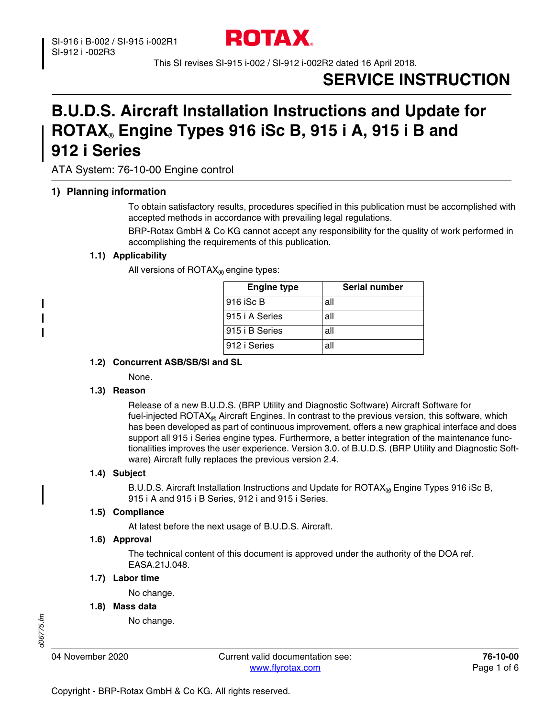

This SI revises SI-915 i-002 / SI-912 i-002R2 dated 16 April 2018.

# **SERVICE INSTRUCTION**

# **B.U.D.S. Aircraft Installation Instructions and Update for ROTAX**® **Engine Types 916 iSc B, 915 i A, 915 i B and 912 i Series**

ATA System: 76-10-00 Engine control

## **1) Planning information**

To obtain satisfactory results, procedures specified in this publication must be accomplished with accepted methods in accordance with prevailing legal regulations.

BRP-Rotax GmbH & Co KG cannot accept any responsibility for the quality of work performed in accomplishing the requirements of this publication.

## **1.1) Applicability**

All versions of  $\text{ROTAX}_{\text{R}}$  engine types:

| <b>Engine type</b> | Serial number |
|--------------------|---------------|
| 916 iSc B          | all           |
| 915 i A Series     | all           |
| 915 i B Series     | all           |
| 912 i Series       | all           |

#### **1.2) Concurrent ASB/SB/SI and SL**

None.

## **1.3) Reason**

Release of a new B.U.D.S. (BRP Utility and Diagnostic Software) Aircraft Software for fuel-injected ROTAX® Aircraft Engines. In contrast to the previous version, this software, which has been developed as part of continuous improvement, offers a new graphical interface and does support all 915 i Series engine types. Furthermore, a better integration of the maintenance functionalities improves the user experience. Version 3.0. of B.U.D.S. (BRP Utility and Diagnostic Software) Aircraft fully replaces the previous version 2.4.

## **1.4) Subject**

B.U.D.S. Aircraft Installation Instructions and Update for  $ROTAX_{\mathcal{R}}$  Engine Types 916 iSc B, 915 i A and 915 i B Series, 912 i and 915 i Series.

## **1.5) Compliance**

At latest before the next usage of B.U.D.S. Aircraft.

#### **1.6) Approval**

The technical content of this document is approved under the authority of the DOA ref. EASA.21J.048.

#### **1.7) Labor time**

No change.

**1.8) Mass data**

No change.

I

I

04 November 2020 Current valid documentation see: **76-10-00** www.flyrotax.com Page 1 of 6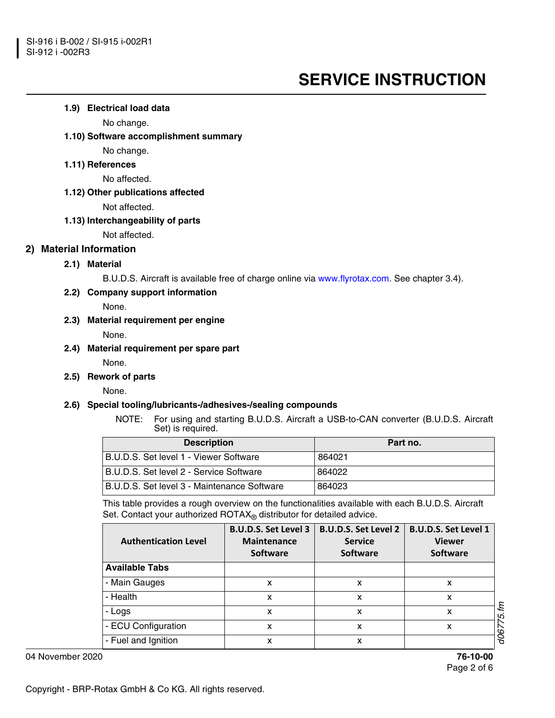#### **1.9) Electrical load data**

No change.

#### **1.10) Software accomplishment summary**

No change.

# **1.11) References**

No affected.

#### **1.12) Other publications affected**

Not affected.

#### **1.13) Interchangeability of parts**

Not affected.

# **2) Material Information**

# **2.1) Material**

B.U.D.S. Aircraft is available free of charge online via www.flyrotax.com. See chapter 3.4).

## **2.2) Company support information**

None.

#### **2.3) Material requirement per engine**

None.

#### **2.4) Material requirement per spare part**

None.

## **2.5) Rework of parts**

None.

## **2.6) Special tooling/lubricants-/adhesives-/sealing compounds**

NOTE: For using and starting B.U.D.S. Aircraft a USB-to-CAN converter (B.U.D.S. Aircraft Set) is required.

| <b>Description</b>                           | Part no. |
|----------------------------------------------|----------|
| B.U.D.S. Set level 1 - Viewer Software       | 864021   |
| B.U.D.S. Set level 2 - Service Software      | 864022   |
| IB.U.D.S. Set level 3 - Maintenance Software | 864023   |

This table provides a rough overview on the functionalities available with each B.U.D.S. Aircraft Set. Contact your authorized  $ROTAX_{\textcircled{e}}$  distributor for detailed advice.

| <b>Authentication Level</b> | <b>B.U.D.S. Set Level 3</b><br><b>Maintenance</b><br><b>Software</b> | <b>B.U.D.S. Set Level 2</b><br><b>Service</b><br><b>Software</b> | <b>B.U.D.S. Set Level 1</b><br><b>Viewer</b><br><b>Software</b> |
|-----------------------------|----------------------------------------------------------------------|------------------------------------------------------------------|-----------------------------------------------------------------|
| <b>Available Tabs</b>       |                                                                      |                                                                  |                                                                 |
| - Main Gauges               | x                                                                    | x                                                                | x                                                               |
| - Health                    | x                                                                    | x                                                                | x                                                               |
| - Logs                      | x                                                                    | x                                                                | ξ<br>x<br>5                                                     |
| - ECU Configuration         | x                                                                    | x                                                                | x                                                               |
| - Fuel and Ignition         | x                                                                    | x                                                                | dos                                                             |

04 November 2020 **76-10-00**

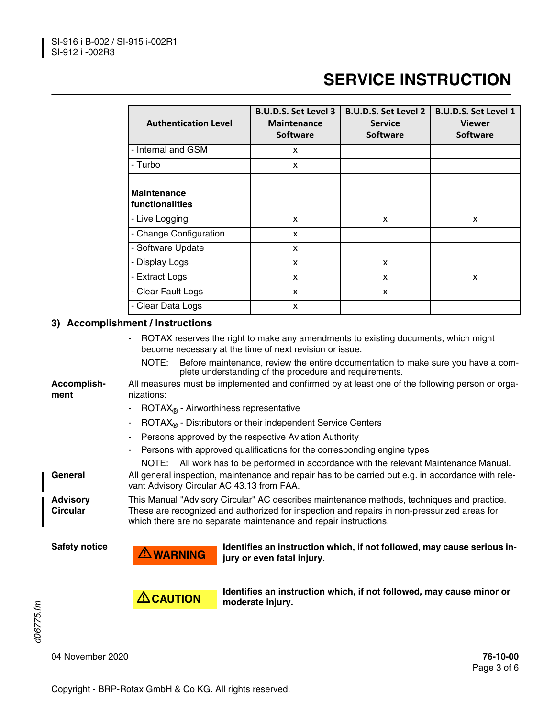| <b>Authentication Level</b>           | <b>B.U.D.S. Set Level 3</b><br><b>Maintenance</b><br><b>Software</b> | <b>B.U.D.S. Set Level 2</b><br><b>Service</b><br><b>Software</b> | <b>B.U.D.S. Set Level 1</b><br><b>Viewer</b><br><b>Software</b> |
|---------------------------------------|----------------------------------------------------------------------|------------------------------------------------------------------|-----------------------------------------------------------------|
| - Internal and GSM                    | x                                                                    |                                                                  |                                                                 |
| - Turbo                               | x                                                                    |                                                                  |                                                                 |
| <b>Maintenance</b><br>functionalities |                                                                      |                                                                  |                                                                 |
| - Live Logging                        | X                                                                    | X                                                                | X                                                               |
| - Change Configuration                | x                                                                    |                                                                  |                                                                 |
| - Software Update                     | $\mathbf{x}$                                                         |                                                                  |                                                                 |
| - Display Logs                        | $\mathsf{x}$                                                         | $\mathsf{x}$                                                     |                                                                 |
| - Extract Logs                        | X                                                                    | X                                                                | X                                                               |
| - Clear Fault Logs                    | X                                                                    | X                                                                |                                                                 |
| - Clear Data Logs                     | X                                                                    |                                                                  |                                                                 |

# **3) Accomplishment / Instructions**

|                      | $\overline{\phantom{a}}$                                                                                                                                                                                                                                      | ROTAX reserves the right to make any amendments to existing documents, which might<br>become necessary at the time of next revision or issue. |  |  |  |
|----------------------|---------------------------------------------------------------------------------------------------------------------------------------------------------------------------------------------------------------------------------------------------------------|-----------------------------------------------------------------------------------------------------------------------------------------------|--|--|--|
|                      | NOTE:                                                                                                                                                                                                                                                         | Before maintenance, review the entire documentation to make sure you have a com-<br>plete understanding of the procedure and requirements.    |  |  |  |
| Accomplish-<br>ment  | nizations:                                                                                                                                                                                                                                                    | All measures must be implemented and confirmed by at least one of the following person or orga-                                               |  |  |  |
|                      | $\overline{ROTAX}_{\text{R}}$ - Airworthiness representative                                                                                                                                                                                                  |                                                                                                                                               |  |  |  |
|                      | ۰                                                                                                                                                                                                                                                             | $\overline{ROTAX}_{\text{R}}$ - Distributors or their independent Service Centers                                                             |  |  |  |
|                      | Persons approved by the respective Aviation Authority                                                                                                                                                                                                         |                                                                                                                                               |  |  |  |
|                      | Persons with approved qualifications for the corresponding engine types<br>۰                                                                                                                                                                                  |                                                                                                                                               |  |  |  |
|                      |                                                                                                                                                                                                                                                               | NOTE: All work has to be performed in accordance with the relevant Maintenance Manual.                                                        |  |  |  |
| General              | All general inspection, maintenance and repair has to be carried out e.g. in accordance with rele-<br>vant Advisory Circular AC 43.13 from FAA.                                                                                                               |                                                                                                                                               |  |  |  |
| Advisory<br>Circular | This Manual "Advisory Circular" AC describes maintenance methods, techniques and practice.<br>These are recognized and authorized for inspection and repairs in non-pressurized areas for<br>which there are no separate maintenance and repair instructions. |                                                                                                                                               |  |  |  |
| <b>Safety notice</b> | $\triangle$ WARNING                                                                                                                                                                                                                                           | Identifies an instruction which, if not followed, may cause serious in-<br>jury or even fatal injury.                                         |  |  |  |
|                      | $\triangle$ CAUTION                                                                                                                                                                                                                                           | Identifies an instruction which, if not followed, may cause minor or<br>moderate injury.                                                      |  |  |  |

04 November 2020 **76-10-00**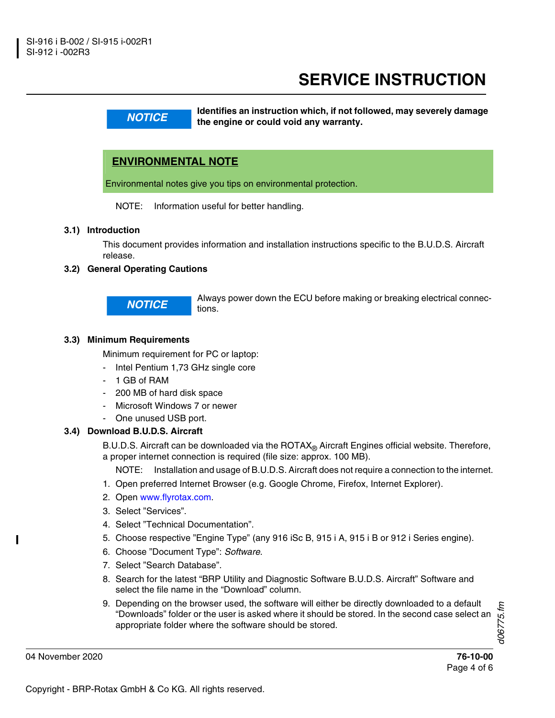**NOTICE WARKIM IDENTIFIES AND INSTRUCTED THE ANGLE IS A LIGAN MOTICE THE ANGLE IS A LIGAN METALLY OF THE ANGLE IS A LIGAL METALLY AND THE ANGLE IS A LIGAL METALLY AND THE ANGLE IS A LIGAL METALLY AND THE ANGLE IS A LIGAL the engine or could void any warranty.**

# **ENVIRONMENTAL NOTE**

Environmental notes give you tips on environmental protection.

NOTE: Information useful for better handling.

#### **3.1) Introduction**

This document provides information and installation instructions specific to the B.U.D.S. Aircraft release.

## **3.2) General Operating Cautions**

**NOTICE** Always power down the ECU before making or breaking electrical connections.

#### **3.3) Minimum Requirements**

Minimum requirement for PC or laptop:

- Intel Pentium 1,73 GHz single core
- 1 GB of RAM
- 200 MB of hard disk space
- Microsoft Windows 7 or newer
- One unused USB port.

#### **3.4) Download B.U.D.S. Aircraft**

B.U.D.S. Aircraft can be downloaded via the  $ROTAX<sub>®</sub>$  Aircraft Engines official website. Therefore, a proper internet connection is required (file size: approx. 100 MB).

NOTE: Installation and usage of B.U.D.S. Aircraft does not require a connection to the internet.

- 1. Open preferred Internet Browser (e.g. Google Chrome, Firefox, Internet Explorer).
- 2. Open www.flyrotax.com.
- 3. Select "Services".
- 4. Select "Technical Documentation".
- 5. Choose respective "Engine Type" (any 916 iSc B, 915 i A, 915 i B or 912 i Series engine).
- 6. Choose "Document Type": *Software*.
- 7. Select "Search Database".
- 8. Search for the latest "BRP Utility and Diagnostic Software B.U.D.S. Aircraft" Software and select the file name in the "Download" column.
- 9. Depending on the browser used, the software will either be directly downloaded to a default "Downloads" folder or the user is asked where it should be stored. In the second case select an appropriate folder where the software should be stored.

*d06775.fm* d06775.fm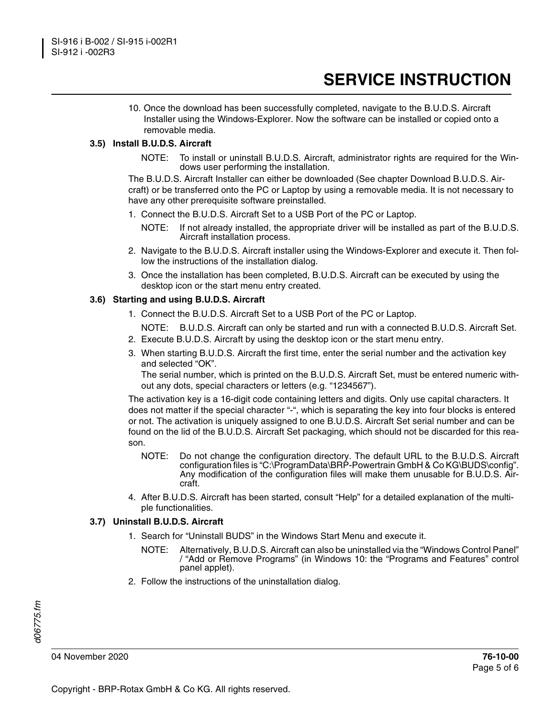10. Once the download has been successfully completed, navigate to the B.U.D.S. Aircraft Installer using the Windows-Explorer. Now the software can be installed or copied onto a removable media.

#### **3.5) Install B.U.D.S. Aircraft**

NOTE: To install or uninstall B.U.D.S. Aircraft, administrator rights are required for the Windows user performing the installation.

The B.U.D.S. Aircraft Installer can either be downloaded (See chapter Download B.U.D.S. Aircraft) or be transferred onto the PC or Laptop by using a removable media. It is not necessary to have any other prerequisite software preinstalled.

- 1. Connect the B.U.D.S. Aircraft Set to a USB Port of the PC or Laptop.
	- NOTE: If not already installed, the appropriate driver will be installed as part of the B.U.D.S. Aircraft installation process.
- 2. Navigate to the B.U.D.S. Aircraft installer using the Windows-Explorer and execute it. Then follow the instructions of the installation dialog.
- 3. Once the installation has been completed, B.U.D.S. Aircraft can be executed by using the desktop icon or the start menu entry created.

#### **3.6) Starting and using B.U.D.S. Aircraft**

- 1. Connect the B.U.D.S. Aircraft Set to a USB Port of the PC or Laptop.
- NOTE: B.U.D.S. Aircraft can only be started and run with a connected B.U.D.S. Aircraft Set.
- 2. Execute B.U.D.S. Aircraft by using the desktop icon or the start menu entry.
- 3. When starting B.U.D.S. Aircraft the first time, enter the serial number and the activation key and selected "OK".

The serial number, which is printed on the B.U.D.S. Aircraft Set, must be entered numeric without any dots, special characters or letters (e.g. "1234567").

The activation key is a 16-digit code containing letters and digits. Only use capital characters. It does not matter if the special character "-", which is separating the key into four blocks is entered or not. The activation is uniquely assigned to one B.U.D.S. Aircraft Set serial number and can be found on the lid of the B.U.D.S. Aircraft Set packaging, which should not be discarded for this reason.

- NOTE: Do not change the configuration directory. The default URL to the B.U.D.S. Aircraft configuration files is "C:\ProgramData\BRP-Powertrain GmbH & Co KG\BUDS\config". Any modification of the configuration files will make them unusable for B.U.D.S. Aircraft.
- 4. After B.U.D.S. Aircraft has been started, consult "Help" for a detailed explanation of the multiple functionalities.

#### **3.7) Uninstall B.U.D.S. Aircraft**

- 1. Search for "Uninstall BUDS" in the Windows Start Menu and execute it.
	- NOTE: Alternatively, B.U.D.S. Aircraft can also be uninstalled via the "Windows Control Panel" / "Add or Remove Programs" (in Windows 10: the "Programs and Features" control panel applet).
- 2. Follow the instructions of the uninstallation dialog.

04 November 2020 **76-10-00**